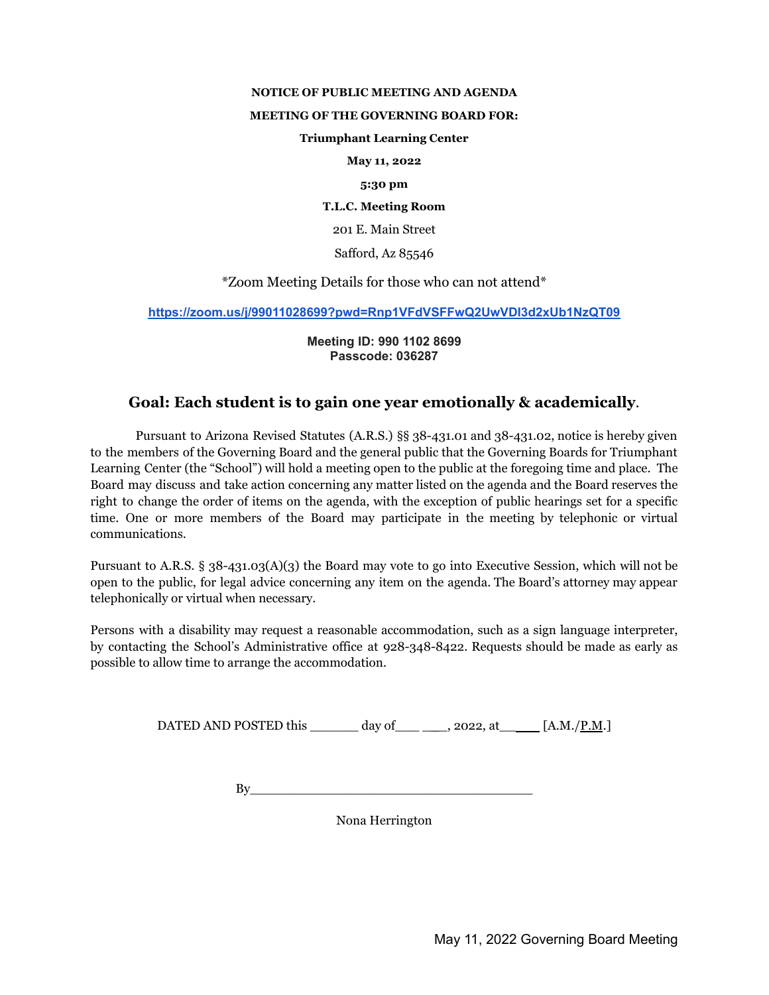### **NOTICE OF PUBLIC MEETING AND AGENDA**

## **MEETING OF THE GOVERNING BOARD FOR:**

## **Triumphant Learning Center**

**May 11, 2022**

### **5:30 pm**

**T.L.C. Meeting Room**

201 E. Main Street

Safford, Az 85546

\*Zoom Meeting Details for those who can not attend\*

**<https://zoom.us/j/99011028699?pwd=Rnp1VFdVSFFwQ2UwVDI3d2xUb1NzQT09>**

**Meeting ID: 990 1102 8699 Passcode: 036287**

# **Goal: Each student is to gain one year emotionally & academically**.

Pursuant to Arizona Revised Statutes (A.R.S.) §§ 38-431.01 and 38-431.02, notice is hereby given to the members of the Governing Board and the general public that the Governing Boards for Triumphant Learning Center (the "School") will hold a meeting open to the public at the foregoing time and place. The Board may discuss and take action concerning any matter listed on the agenda and the Board reserves the right to change the order of items on the agenda, with the exception of public hearings set for a specific time. One or more members of the Board may participate in the meeting by telephonic or virtual communications.

Pursuant to A.R.S. § 38-431.03(A)(3) the Board may vote to go into Executive Session, which will not be open to the public, for legal advice concerning any item on the agenda. The Board's attorney may appear telephonically or virtual when necessary.

Persons with a disability may request a reasonable accommodation, such as a sign language interpreter, by contacting the School's Administrative office at 928-348-8422. Requests should be made as early as possible to allow time to arrange the accommodation.

DATED AND POSTED this \_\_\_\_\_\_ day of\_\_\_ \_**\_**\_, 2022, at\_\_ [A.M./P.M.]

 $By$ 

Nona Herrington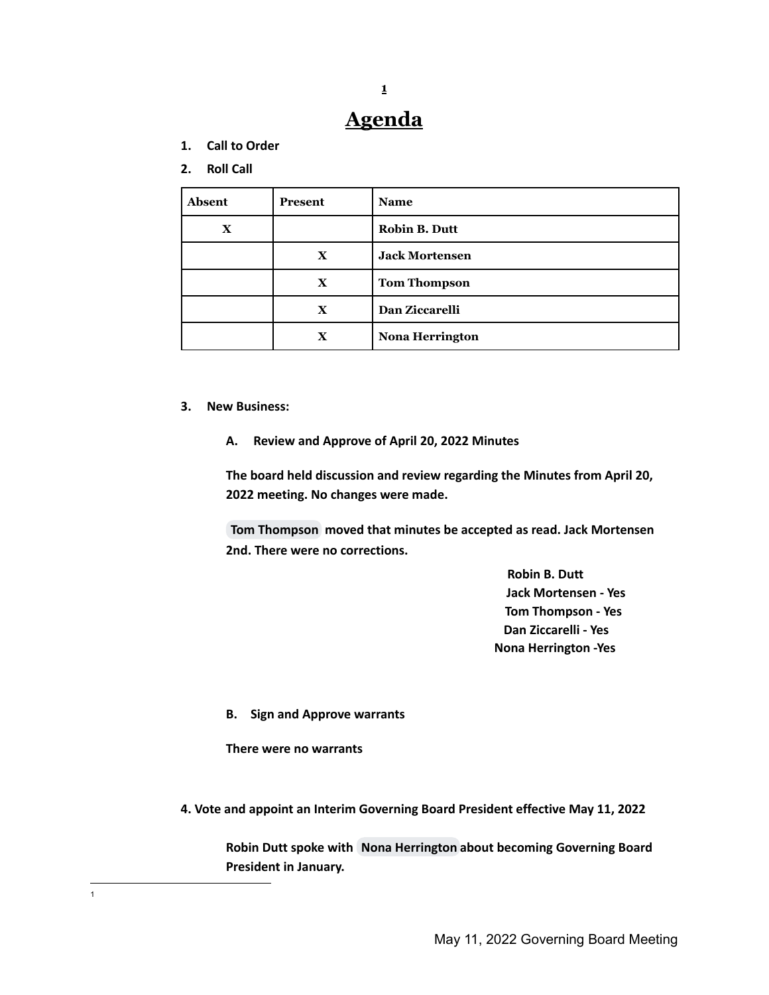# **Agenda**

**1**

**1. Call to Order**

## **2. Roll Call**

| <b>Absent</b> | Present      | <b>Name</b>            |
|---------------|--------------|------------------------|
| $\mathbf X$   |              | <b>Robin B. Dutt</b>   |
|               | $\mathbf X$  | <b>Jack Mortensen</b>  |
|               | $\mathbf X$  | <b>Tom Thompson</b>    |
|               | $\mathbf{X}$ | Dan Ziccarelli         |
|               | $\mathbf x$  | <b>Nona Herrington</b> |

## **3. New Business:**

**A. Review and Approve of April 20, 2022 Minutes**

**The board held discussion and review regarding the Minutes from April 20, 2022 meeting. No changes were made.**

**Tom [Thompson](mailto:thomas.thompson@eac.edu) moved that minutes be accepted as read. Jack Mortensen 2nd. There were no corrections.**

> **Robin B. Dutt Jack Mortensen - Yes Tom Thompson - Yes Dan Ziccarelli - Yes Nona Herrington -Yes**

**B. Sign and Approve warrants**

**There were no warrants**

**4. Vote and appoint an Interim Governing Board President effective May 11, 2022**

**Robin Dutt spoke with Nona [Herrington](mailto:nona_herrington@yahoo.com) about becoming Governing Board President in January.**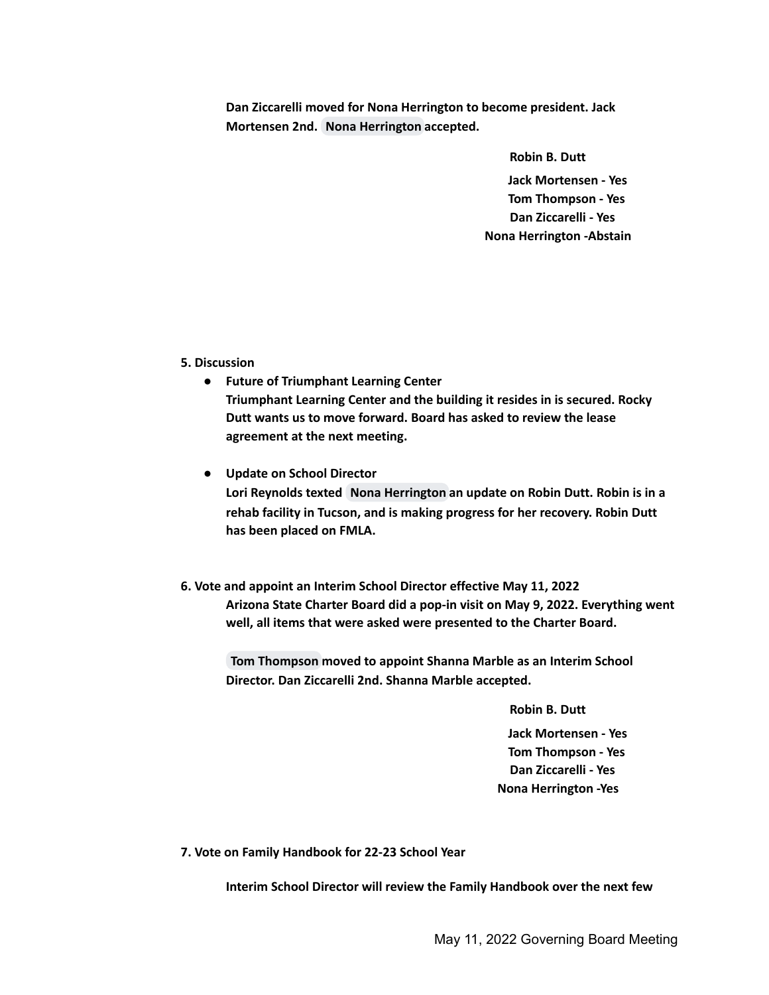**Dan Ziccarelli moved for Nona Herrington to become president. Jack Mortensen 2nd. Nona [Herrington](mailto:nona_herrington@yahoo.com) accepted.**

**Robin B. Dutt**

**Jack Mortensen - Yes Tom Thompson - Yes Dan Ziccarelli - Yes Nona Herrington -Abstain**

**5. Discussion**

- **● Future of Triumphant Learning Center Triumphant Learning Center and the building it resides in is secured. Rocky Dutt wants us to move forward. Board has asked to review the lease agreement at the next meeting.**
- **● Update on School Director Lori Reynolds texted Nona [Herrington](mailto:nona_herrington@yahoo.com) an update on Robin Dutt. Robin is in a rehab facility in Tucson, and is making progress for her recovery. Robin Dutt has been placed on FMLA.**
- **6. Vote and appoint an Interim School Director effective May 11, 2022 Arizona State Charter Board did a pop-in visit on May 9, 2022. Everything went well, all items that were asked were presented to the Charter Board.**

**Tom [Thompson](mailto:thomas.thompson@eac.edu) moved to appoint Shanna Marble as an Interim School Director. Dan Ziccarelli 2nd. Shanna Marble accepted.**

> **Robin B. Dutt Jack Mortensen - Yes Tom Thompson - Yes Dan Ziccarelli - Yes Nona Herrington -Yes**

**7. Vote on Family Handbook for 22-23 School Year**

**Interim School Director will review the Family Handbook over the next few**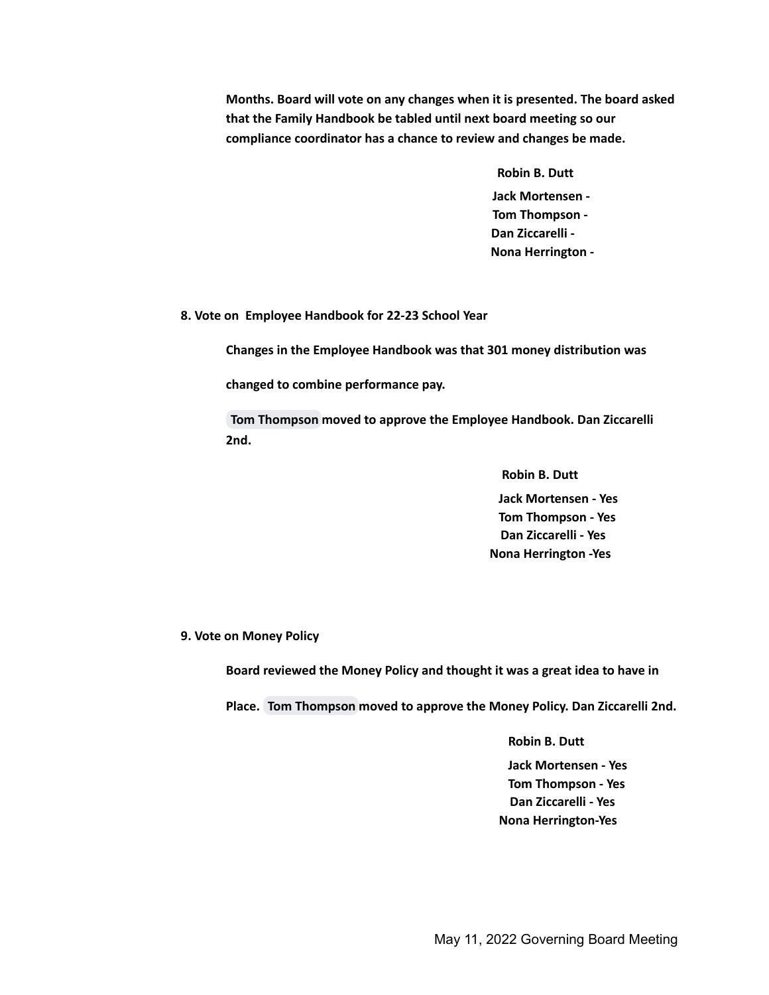**Months. Board will vote on any changes when it is presented. The board asked that the Family Handbook be tabled until next board meeting so our compliance coordinator has a chance to review and changes be made.**

> **Robin B. Dutt Jack Mortensen - Tom Thompson - Dan Ziccarelli - Nona Herrington -**

**8. Vote on Employee Handbook for 22-23 School Year**

**Changes in the Employee Handbook was that 301 money distribution was**

**changed to combine performance pay.**

**Tom [Thompson](mailto:thomas.thompson@eac.edu) moved to approve the Employee Handbook. Dan Ziccarelli 2nd.**

> **Robin B. Dutt Jack Mortensen - Yes Tom Thompson - Yes Dan Ziccarelli - Yes Nona Herrington -Yes**

**9. Vote on Money Policy**

**Board reviewed the Money Policy and thought it was a great idea to have in**

**Place. Tom [Thompson](mailto:thomas.thompson@eac.edu) moved to approve the Money Policy. Dan Ziccarelli 2nd.**

**Robin B. Dutt Jack Mortensen - Yes Tom Thompson - Yes Dan Ziccarelli - Yes Nona Herrington-Yes**